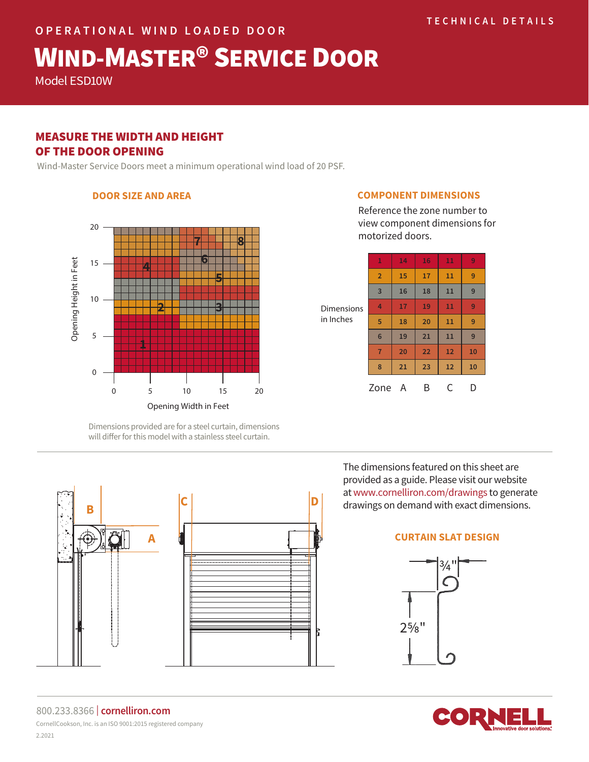# WIND-MASTER® SERVICE DOOR

Model ESD10W

# MEASURE THE WIDTH AND HEIGHT OF THE DOOR OPENING

**DOOR SIZE AND AREA**

Wind-Master Service Doors meet a minimum operational wind load of 20 PSF.

## 20 **7 8 <sup>4</sup> <sup>6</sup>** Opening Height in Feet Opening Height in Feet15 **5** 10 **2 3** 5 **1** 0 0 5 10 15 20 Opening Width in Feet

Dimensions provided are for a steel curtain, dimensions will differ for this model with a stainless steel curtain.



#### **COMPONENT DIMENSIONS**

Reference the zone number to view component dimensions for motorized doors.

| <b>Dimensions</b><br>in Inches | 1              | 14 | 16 | 11 | 9  |
|--------------------------------|----------------|----|----|----|----|
|                                | $\overline{2}$ | 15 | 17 | 11 | 9  |
|                                | $\overline{3}$ | 16 | 18 | 11 | 9  |
|                                | $\overline{4}$ | 17 | 19 | 11 | 9  |
|                                | 5              | 18 | 20 | 11 | 9  |
|                                | 6              | 19 | 21 | 11 | 9  |
|                                | $\overline{7}$ | 20 | 22 | 12 | 10 |
|                                | 8              | 21 | 23 | 12 | 10 |
|                                | Zone           | A  | Β  | C  |    |

The dimensions featured on this sheet are provided as a guide. Please visit our website at www.cornelliron.com/drawings to generate drawings on demand with exact dimensions.

## **CURTAIN SLAT DESIGN**





800.233.8366 | **cornelliron.com** CornellCookson, Inc. is an ISO 9001:2015 registered company 2.2021